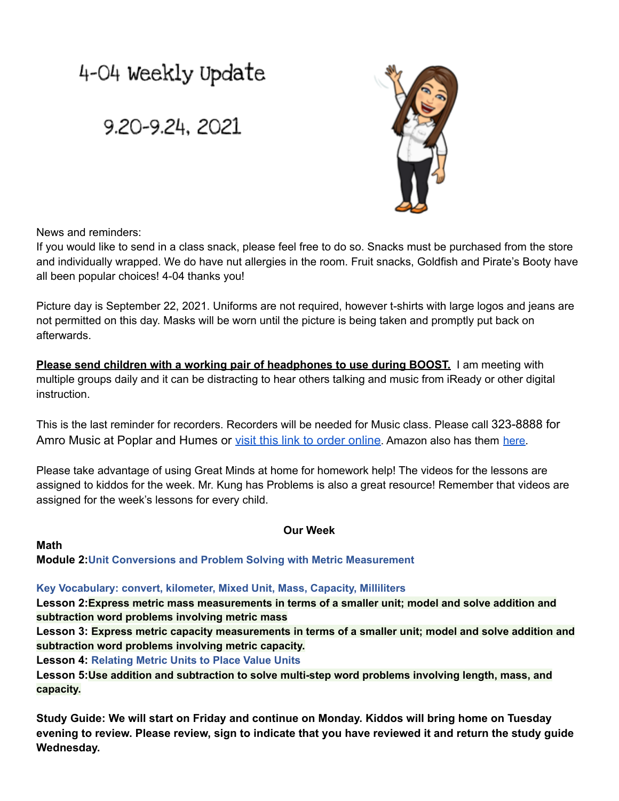# 4-04 Weekly Update

# 9.20-9.24, 2021



News and reminders:

If you would like to send in a class snack, please feel free to do so. Snacks must be purchased from the store and individually wrapped. We do have nut allergies in the room. Fruit snacks, Goldfish and Pirate's Booty have all been popular choices! 4-04 thanks you!

Picture day is September 22, 2021. Uniforms are not required, however t-shirts with large logos and jeans are not permitted on this day. Masks will be worn until the picture is being taken and promptly put back on afterwards.

**Please send children with a working pair of headphones to use during BOOST.** I am meeting with multiple groups daily and it can be distracting to hear others talking and music from iReady or other digital instruction.

This is the last reminder for recorders. Recorders will be needed for Music class. Please call 323-8888 for Amro Music at Poplar and Humes or visit this link [to order online](https://www.westmusic.com/recorders/recorder-instruments/yamaha-20-series-yrs-24b-soprano-recorder-yamaha-400295). Amazon also has them [here.](https://www.amazon.com/YRS-24B-Plastic-Soprano-Recorder-Natural/dp/B00EJF5Y26/ref=sr_1_1?crid=DE4MIOVFRYT0&dchild=1&keywords=yamaha+recorder+yrs-24b&qid=1631739862&sr=8-1)

Please take advantage of using Great Minds at home for homework help! The videos for the lessons are assigned to kiddos for the week. Mr. Kung has Problems is also a great resource! Remember that videos are assigned for the week's lessons for every child.

**Math**

## **Our Week**

**Module 2:Unit Conversions and Problem Solving with Metric Measurement**

#### **Key Vocabulary: convert, kilometer, Mixed Unit, Mass, Capacity, Milliliters**

**Lesson 2:Express metric mass measurements in terms of a smaller unit; model and solve addition and subtraction word problems involving metric mass**

**Lesson 3: Express metric capacity measurements in terms of a smaller unit; model and solve addition and subtraction word problems involving metric capacity.**

**Lesson 4: Relating Metric Units to Place Value Units**

**Lesson 5:Use addition and subtraction to solve multi-step word problems involving length, mass, and capacity.**

**Study Guide: We will start on Friday and continue on Monday. Kiddos will bring home on Tuesday** evening to review. Please review, sign to indicate that you have reviewed it and return the study guide **Wednesday.**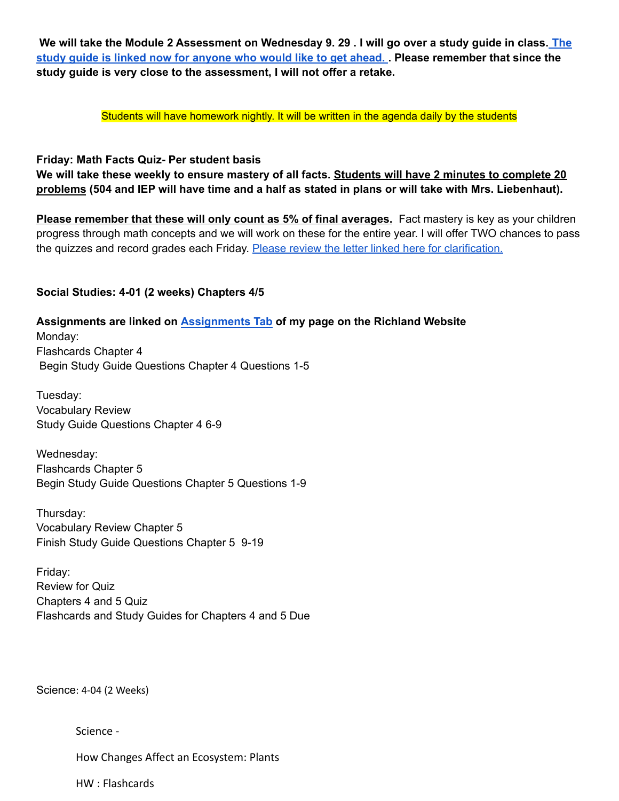We will take the Module 2 Assessment on Wednesday 9. 29 . I will go over a study guide in class. [The](https://drive.google.com/file/d/1GIxBXoznlVEIHz37ZslwhWGB_WFlnRaB/view?usp=sharing) study guide is linked now for [anyone](https://drive.google.com/file/d/1GIxBXoznlVEIHz37ZslwhWGB_WFlnRaB/view?usp=sharing) who would like to get ahead. . Please remember that since the **study guide is very close to the assessment, I will not offer a retake.**

Students will have homework nightly. It will be written in the agenda daily by the students

#### **Friday: Math Facts Quiz- Per student basis**

We will take these weekly to ensure mastery of all facts. Students will have 2 minutes to complete 20 problems (504 and IEP will have time and a half as stated in plans or will take with Mrs. Liebenhaut).

**Please remember that these will only count as 5% of final averages.** Fact mastery is key as your children progress through math concepts and we will work on these for the entire year. I will offer TWO chances to pass the quizzes and record grades each Friday. Please review the letter linked here for [clarification.](https://docs.google.com/document/d/101cN9f8DvLEC7A2PT7oRZfj79Gh9f41_/edit?usp=sharing&ouid=108253847898517478753&rtpof=true&sd=true)

#### **Social Studies: 4-01 (2 weeks) Chapters 4/5**

## **Assignments are linked on [Assignments](https://schools.scsk12.org/Page/14428) Tab of my page on the Richland Website**

Monday: Flashcards Chapter 4 Begin Study Guide Questions Chapter 4 Questions 1-5

Tuesday: Vocabulary Review Study Guide Questions Chapter 4 6-9

Wednesday: Flashcards Chapter 5 Begin Study Guide Questions Chapter 5 Questions 1-9

Thursday: Vocabulary Review Chapter 5 Finish Study Guide Questions Chapter 5 9-19

Friday: Review for Quiz Chapters 4 and 5 Quiz Flashcards and Study Guides for Chapters 4 and 5 Due

Science: 4-04 (2 Weeks)

Science -

How Changes Affect an Ecosystem: Plants

HW : Flashcards